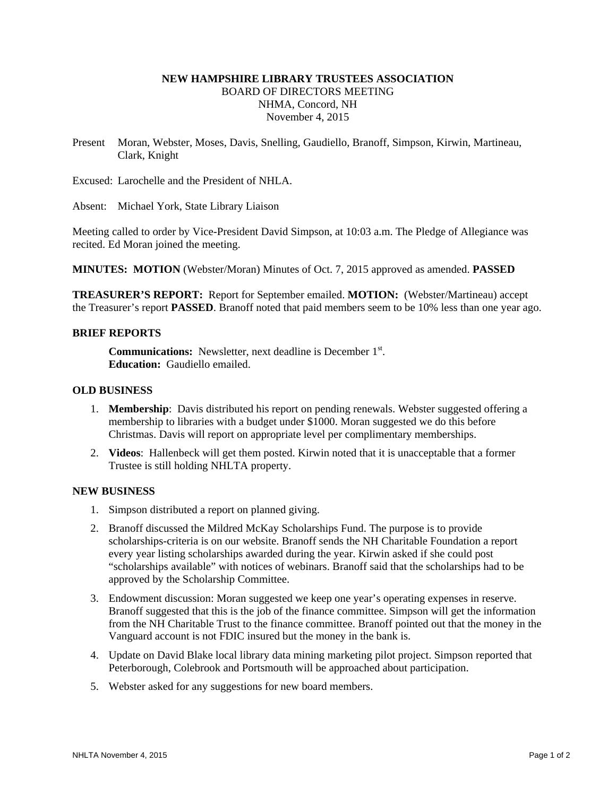# **NEW HAMPSHIRE LIBRARY TRUSTEES ASSOCIATION**  BOARD OF DIRECTORS MEETING NHMA, Concord, NH November 4, 2015

Present Moran, Webster, Moses, Davis, Snelling, Gaudiello, Branoff, Simpson, Kirwin, Martineau, Clark, Knight

Excused: Larochelle and the President of NHLA.

Absent: Michael York, State Library Liaison

Meeting called to order by Vice-President David Simpson, at 10:03 a.m. The Pledge of Allegiance was recited. Ed Moran joined the meeting.

**MINUTES: MOTION** (Webster/Moran) Minutes of Oct. 7, 2015 approved as amended. **PASSED**

**TREASURER'S REPORT:** Report for September emailed. **MOTION:** (Webster/Martineau) accept the Treasurer's report **PASSED**. Branoff noted that paid members seem to be 10% less than one year ago.

### **BRIEF REPORTS**

**Communications:** Newsletter, next deadline is December 1<sup>st</sup>. **Education:** Gaudiello emailed.

### **OLD BUSINESS**

- 1. **Membership**: Davis distributed his report on pending renewals. Webster suggested offering a membership to libraries with a budget under \$1000. Moran suggested we do this before Christmas. Davis will report on appropriate level per complimentary memberships.
- 2. **Videos**: Hallenbeck will get them posted. Kirwin noted that it is unacceptable that a former Trustee is still holding NHLTA property.

#### **NEW BUSINESS**

- 1. Simpson distributed a report on planned giving.
- 2. Branoff discussed the Mildred McKay Scholarships Fund. The purpose is to provide scholarships-criteria is on our website. Branoff sends the NH Charitable Foundation a report every year listing scholarships awarded during the year. Kirwin asked if she could post "scholarships available" with notices of webinars. Branoff said that the scholarships had to be approved by the Scholarship Committee.
- 3. Endowment discussion: Moran suggested we keep one year's operating expenses in reserve. Branoff suggested that this is the job of the finance committee. Simpson will get the information from the NH Charitable Trust to the finance committee. Branoff pointed out that the money in the Vanguard account is not FDIC insured but the money in the bank is.
- 4. Update on David Blake local library data mining marketing pilot project. Simpson reported that Peterborough, Colebrook and Portsmouth will be approached about participation.
- 5. Webster asked for any suggestions for new board members.